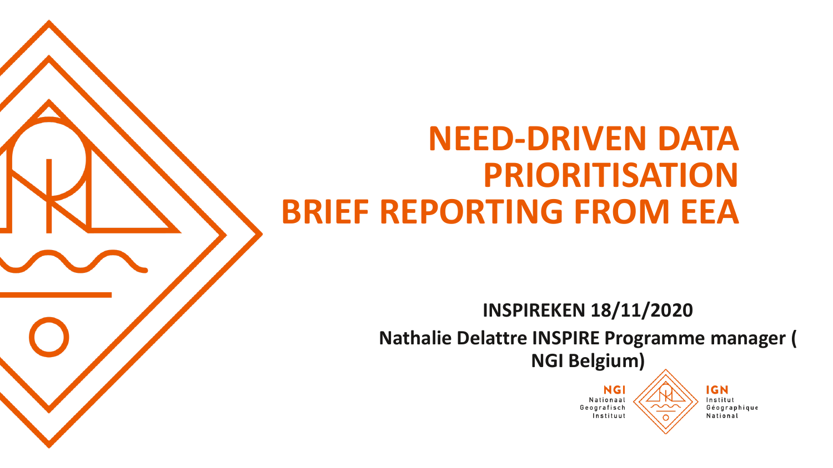#### **NEED-DRIVEN DATA PRIORITISATION BRIEF REPORTING FROM EEA**

**INSPIREKEN 18/11/2020 Nathalie Delattre INSPIRE Programme manager ( NGI Belgium)**

> NG. Nationaal Geografisch Instituut

**IGN** Institut Géographique National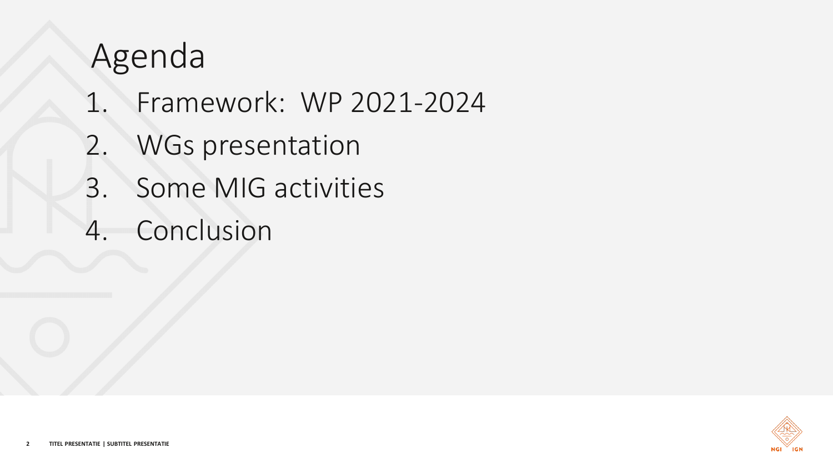### Agenda

- 1. Framework: WP 2021-2024
- 2. WGs presentation
- 3. Some MIG activities
- 4. Conclusion

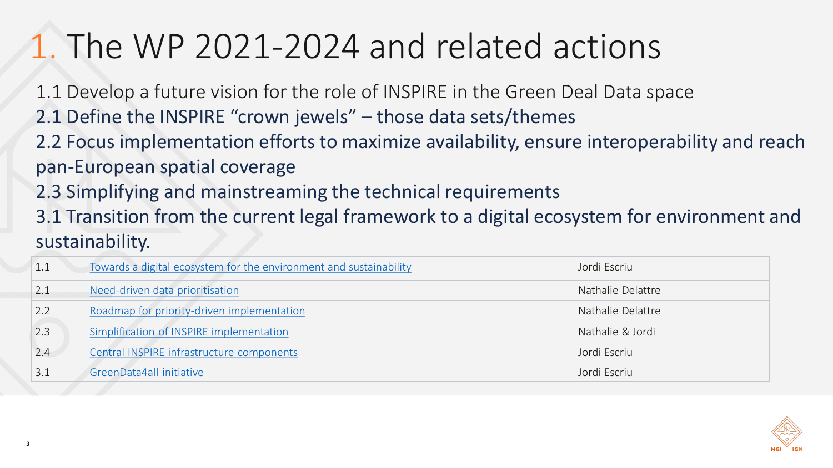## 1. The WP 2021-2024 and related actions

1.1 Develop a future vision for the role of INSPIRE in the Green Deal Data space

- 2.1 Define the INSPIRE "crown jewels" those data sets/themes
- 2.2 Focus implementation efforts to maximize availability, ensure interoperability and reach pan-European spatial coverage
- 2.3 Simplifying and mainstreaming the technical requirements
- 3.1 Transition from the current legal framework to a digital ecosystem for environment and sustainability.

| 1.1 | Towards a digital ecosystem for the environment and sustainability | Jordi Escriu      |
|-----|--------------------------------------------------------------------|-------------------|
| 2.1 | Need-driven data prioritisation                                    | Nathalie Delattre |
| 2.2 | Roadmap for priority-driven implementation                         | Nathalie Delattre |
| 2.3 | Simplification of INSPIRE implementation                           | Nathalie & Jordi  |
| 2.4 | Central INSPIRE infrastructure components                          | Jordi Escriu      |
| 3.1 | GreenData4all initiative                                           | Jordi Escriu      |

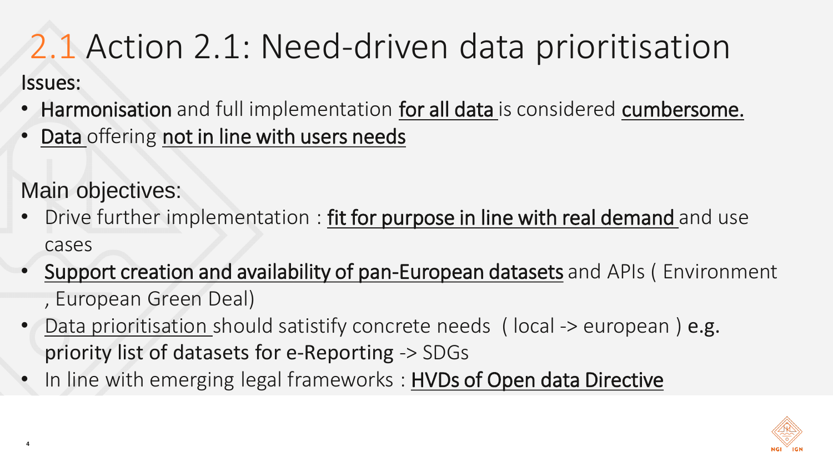#### 2.1 Action 2.1: Need-driven data prioritisation Issues:

- Harmonisation and full implementation for all data is considered cumbersome.
- Data offering not in line with users needs
- Main objectives:
- Drive further implementation : fit for purpose in line with real demand and use cases
- Support creation and availability of pan-European datasets and APIs (Environment , European Green Deal)
- Data prioritisation should satistify concrete needs (local -> european) e.g. priority list of datasets for e-Reporting -> SDGs
- In line with emerging legal frameworks : HVDs of Open data Directive

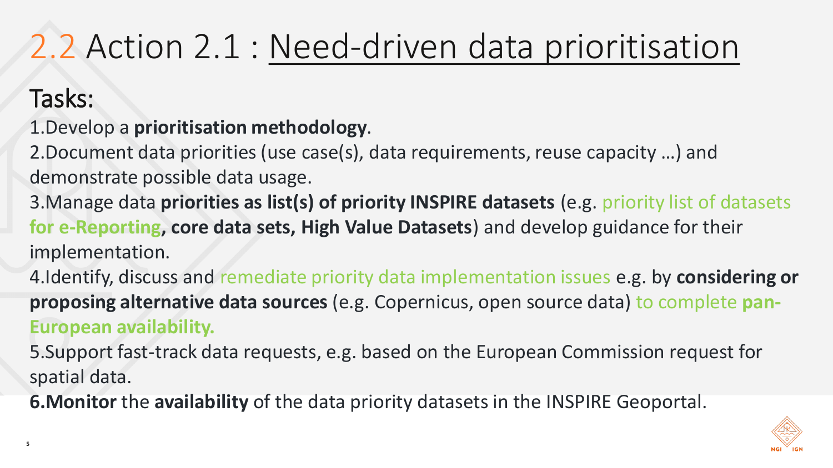# 2.2 Action 2.1 : Need-driven [data prioritisation](https://webgate.ec.europa.eu/fpfis/wikis/display/InspireMIG/Action+2.1+Need-driven+data+prioritisation)

#### Tasks:

- 1.Develop a **prioritisation methodology**.
- 2.Document data priorities (use case(s), data requirements, reuse capacity …) and demonstrate possible data usage.
- 3.Manage data **priorities as list(s) of priority INSPIRE datasets** (e.g. priority list of datasets **for e-Reporting, core data sets, High Value Datasets**) and develop guidance for their implementation.
- 4.Identify, discuss and remediate priority data implementation issues e.g. by **considering or proposing alternative data sources** (e.g. Copernicus, open source data) to complete **pan-European availability.**
- 5.Support fast-track data requests, e.g. based on the European Commission request for spatial data.
- **6.Monitor** the **availability** of the data priority datasets in the INSPIRE Geoportal.

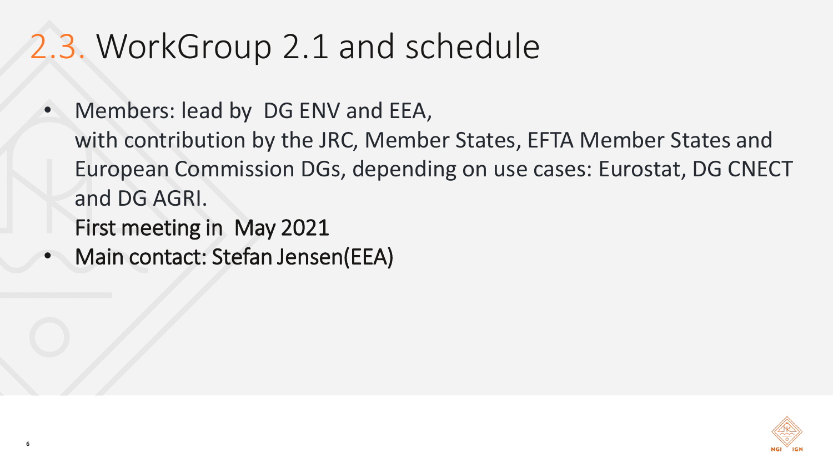## 2.3. WorkGroup 2.1 and schedule

- Members: lead by DG ENV and EEA, with contribution by the JRC, Member States, EFTA Member States and European Commission DGs, depending on use cases: Eurostat, DG CNECT and DG AGRI.
	- First meeting in May 2021
- Main contact: Stefan Jensen(EEA)

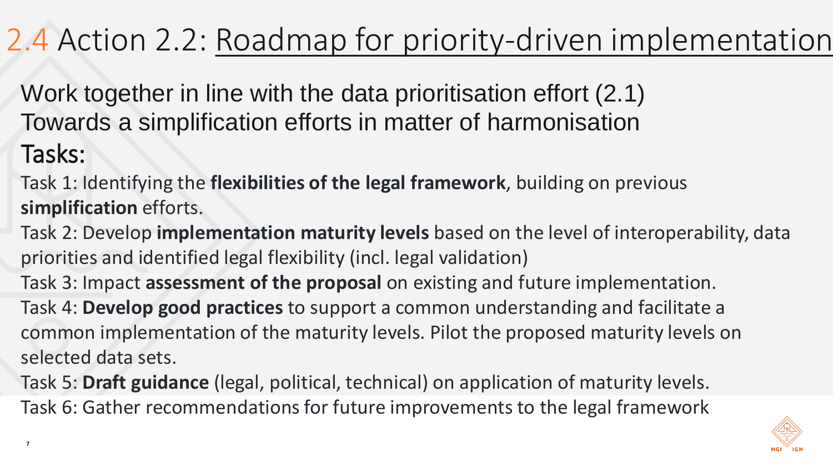#### 2.4 Action 2.2: [Roadmap for priority-driven](https://webgate.ec.europa.eu/fpfis/wikis/display/InspireMIG/Action+2.2+Roadmap+for+priority-driven+implementation) implementation

Work together in line with the data prioritisation effort (2.1) Towards a simplification efforts in matter of harmonisation Tasks:

- Task 1: Identifying the **flexibilities of the legal framework**, building on previous **simplification** efforts.
- Task 2: Develop **implementation maturity levels** based on the level of interoperability, data priorities and identified legal flexibility (incl. legal validation)
- Task 3: Impact **assessment of the proposal** on existing and future implementation.
- Task 4: **Develop good practices** to support a common understanding and facilitate a common implementation of the maturity levels. Pilot the proposed maturity levels on selected data sets.
- Task 5: **Draft guidance** (legal, political, technical) on application of maturity levels. Task 6: Gather recommendations for future improvements to the legal framework

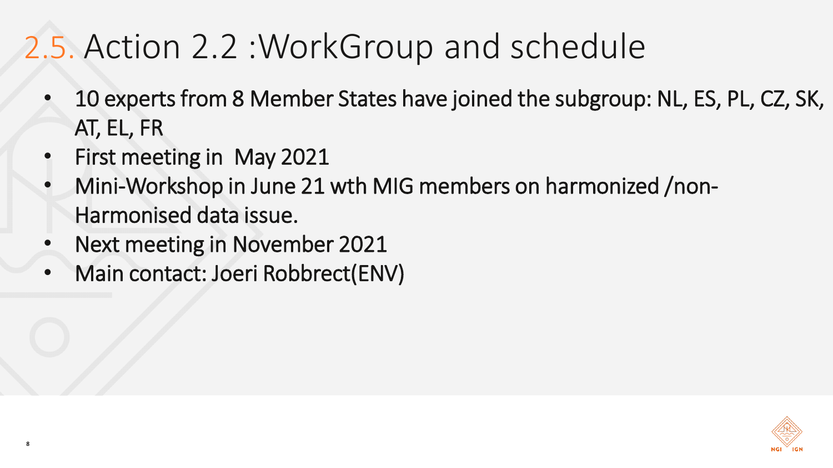## 2.5. Action 2.2 :WorkGroup and schedule

- 10 experts from 8 Member States have joined the subgroup: NL, ES, PL, CZ, SK, AT, EL, FR
- First meeting in May 2021

**8**

- Mini-Workshop in June 21 wth MIG members on harmonized /non-Harmonised data issue.
- Next meeting in November 2021
- Main contact: Joeri Robbrect(ENV)

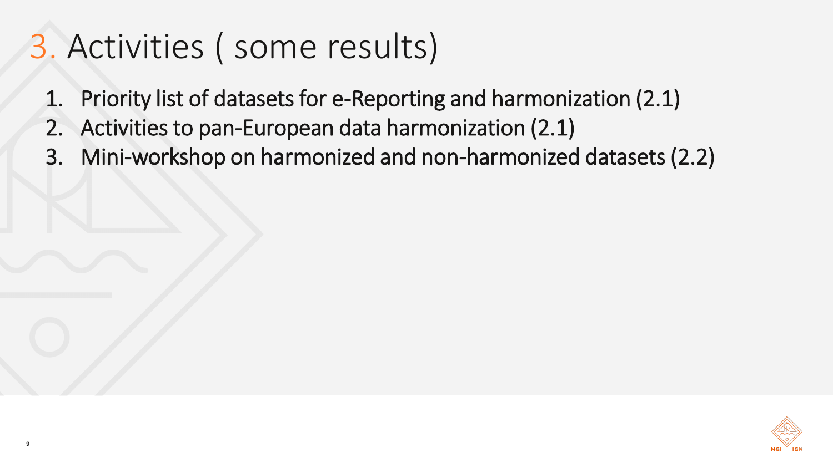# 3. Activities ( some results)

- 1. Priority list of datasets for e-Reporting and harmonization (2.1)
- 2. Activities to pan-European data harmonization (2.1)
- 3. Mini-workshop on harmonized and non-harmonized datasets (2.2)

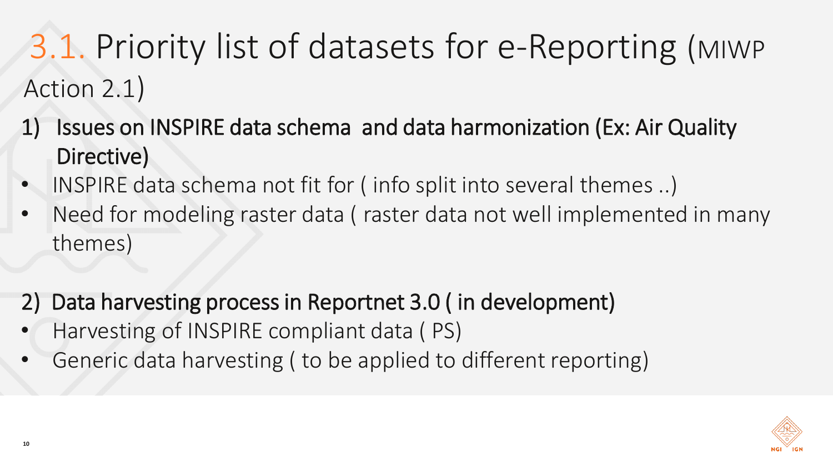# 3.1. Priority list of datasets for e-Reporting (MIWP Action 2.1)

- 1) Issues on INSPIRE data schema and data harmonization (Ex: Air Quality Directive)
- INSPIRE data schema not fit for ( info split into several themes ..)
- Need for modeling raster data (raster data not well implemented in many themes)
- 2) Data harvesting process in Reportnet 3.0 ( in development)
- Harvesting of INSPIRE compliant data ( PS)
- Generic data harvesting ( to be applied to different reporting)

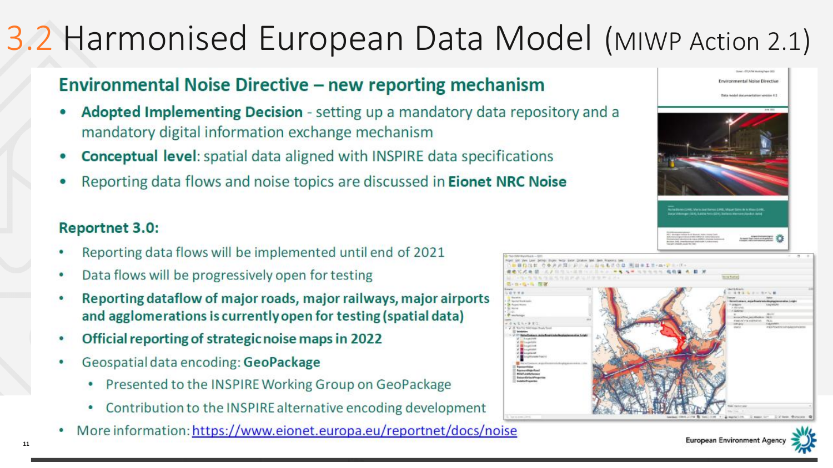#### 3.2 Harmonised European Data Model (MIWP Action 2.1)

# **Environmental Noise Directive – new reporting mechanism**<br>• **Adopted Implementing Decision** - setting up a mandatory data repository and a

- mandatory digital information exchange mechanism
- **Conceptual level:** spatial data aligned with INSPIRE data specifications
- Reporting data flows and noise topics are discussed in Eionet NRC Noise

#### **Reportnet 3.0:**

- Reporting data flows will be implemented until end of 2021 ۰
- Data flows will be progressively open for testing ٠
- Reporting dataflow of major roads, major railways, major airports ٠ and agglomerations is currently open for testing (spatial data)
- Official reporting of strategic noise maps in 2022 ۰
- Geospatial data encoding: GeoPackage
	- Presented to the INSPIRE Working Group on GeoPackage
	- Contribution to the INSPIRE alternative encoding development
- More information: https://www.eionet.europa.eu/reportnet/docs/noise





**11 TITEL PRESENTATION**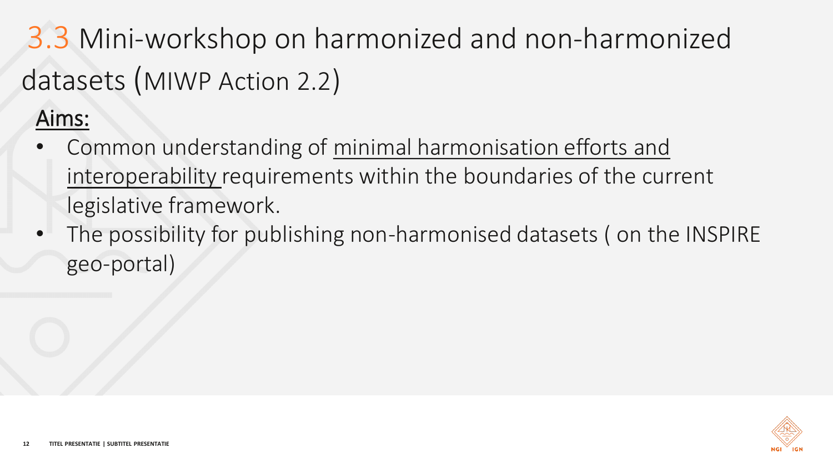3.3 Mini-workshop on harmonized and non-harmonized datasets (MIWP Action 2.2)

#### Aims:

- Common understanding of minimal harmonisation efforts and interoperability requirements within the boundaries of the current legislative framework.
- The possibility for publishing non-harmonised datasets ( on the INSPIRE geo-portal)

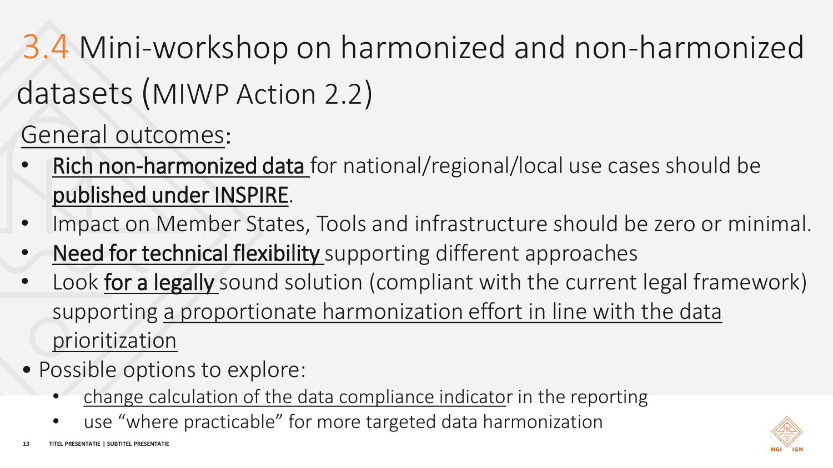3.4 Mini-workshop on harmonized and non-harmonized datasets (MIWP Action 2.2)

General outcomes:

- Rich non-harmonized data for national/regional/local use cases should be published under INSPIRE.
- Impact on Member States, Tools and infrastructure should be zero or minimal.
- Need for technical flexibility supporting different approaches
- Look for a legally sound solution (compliant with the current legal framework) supporting a proportionate harmonization effort in line with the data prioritization
- Possible options to explore:
	- change calculation of the data compliance indicator in the reporting
	- use "where practicable" for more targeted data harmonization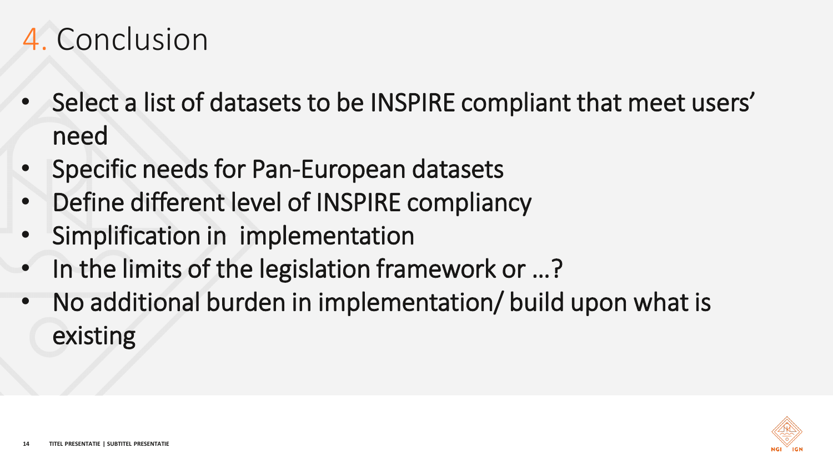#### 4. Conclusion

- Select a list of datasets to be INSPIRE compliant that meet users' need
- Specific needs for Pan-European datasets
- Define different level of INSPIRE compliancy
- Simplification in implementation
- In the limits of the legislation framework or ...?
- No additional burden in implementation/ build upon what is existing